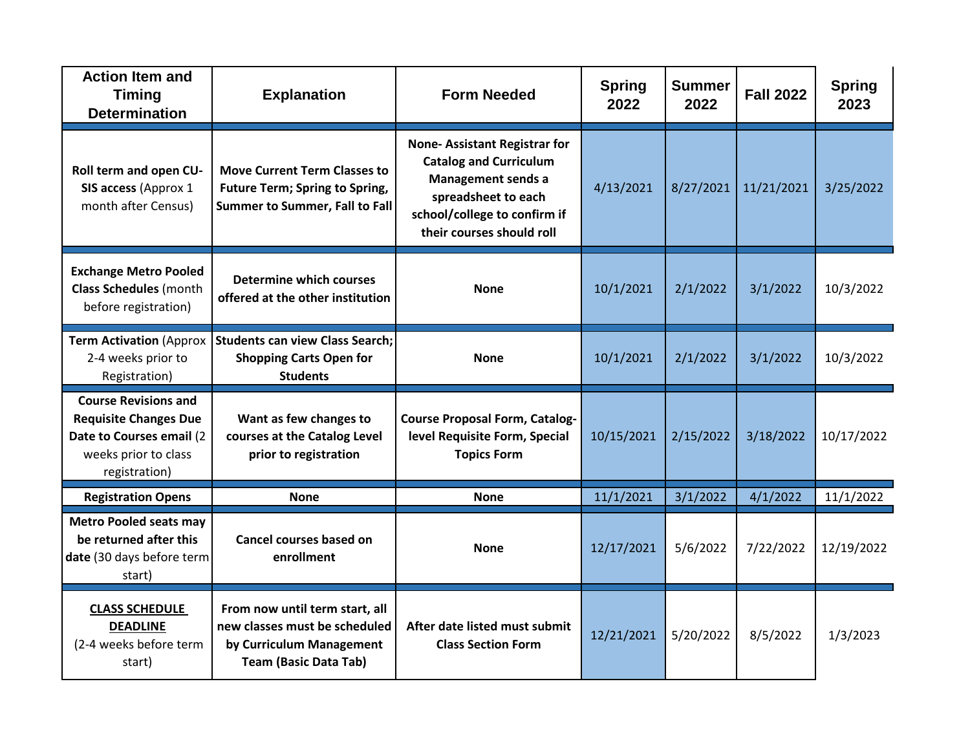| <b>Action Item and</b><br><b>Timing</b><br><b>Determination</b>                                                                  | <b>Explanation</b>                                                                                                          | <b>Form Needed</b>                                                                                                                                                                    | <b>Spring</b><br>2022 | <b>Summer</b><br>2022 | <b>Fall 2022</b> | <b>Spring</b><br>2023 |
|----------------------------------------------------------------------------------------------------------------------------------|-----------------------------------------------------------------------------------------------------------------------------|---------------------------------------------------------------------------------------------------------------------------------------------------------------------------------------|-----------------------|-----------------------|------------------|-----------------------|
| Roll term and open CU-<br>SIS access (Approx 1<br>month after Census)                                                            | <b>Move Current Term Classes to</b><br><b>Future Term; Spring to Spring,</b><br><b>Summer to Summer, Fall to Fall</b>       | <b>None-Assistant Registrar for</b><br><b>Catalog and Curriculum</b><br><b>Management sends a</b><br>spreadsheet to each<br>school/college to confirm if<br>their courses should roll | 4/13/2021             | 8/27/2021             | 11/21/2021       | 3/25/2022             |
| <b>Exchange Metro Pooled</b><br><b>Class Schedules</b> (month<br>before registration)                                            | <b>Determine which courses</b><br>offered at the other institution                                                          | <b>None</b>                                                                                                                                                                           | 10/1/2021             | 2/1/2022              | 3/1/2022         | 10/3/2022             |
| <b>Term Activation (Approx</b><br>2-4 weeks prior to<br>Registration)                                                            | <b>Students can view Class Search:</b><br><b>Shopping Carts Open for</b><br><b>Students</b>                                 | <b>None</b>                                                                                                                                                                           | 10/1/2021             | 2/1/2022              | 3/1/2022         | 10/3/2022             |
| <b>Course Revisions and</b><br><b>Requisite Changes Due</b><br>Date to Courses email (2<br>weeks prior to class<br>registration) | Want as few changes to<br>courses at the Catalog Level<br>prior to registration                                             | <b>Course Proposal Form, Catalog-</b><br>level Requisite Form, Special<br><b>Topics Form</b>                                                                                          | 10/15/2021            | 2/15/2022             | 3/18/2022        | 10/17/2022            |
| <b>Registration Opens</b>                                                                                                        | <b>None</b>                                                                                                                 | <b>None</b>                                                                                                                                                                           | 11/1/2021             | 3/1/2022              | 4/1/2022         | 11/1/2022             |
| <b>Metro Pooled seats may</b><br>be returned after this<br>date (30 days before term<br>start)                                   | <b>Cancel courses based on</b><br>enrollment                                                                                | <b>None</b>                                                                                                                                                                           | 12/17/2021            | 5/6/2022              | 7/22/2022        | 12/19/2022            |
| <b>CLASS SCHEDULE</b><br><b>DEADLINE</b><br>(2-4 weeks before term<br>start)                                                     | From now until term start, all<br>new classes must be scheduled<br>by Curriculum Management<br><b>Team (Basic Data Tab)</b> | After date listed must submit<br><b>Class Section Form</b>                                                                                                                            | 12/21/2021            | 5/20/2022             | 8/5/2022         | 1/3/2023              |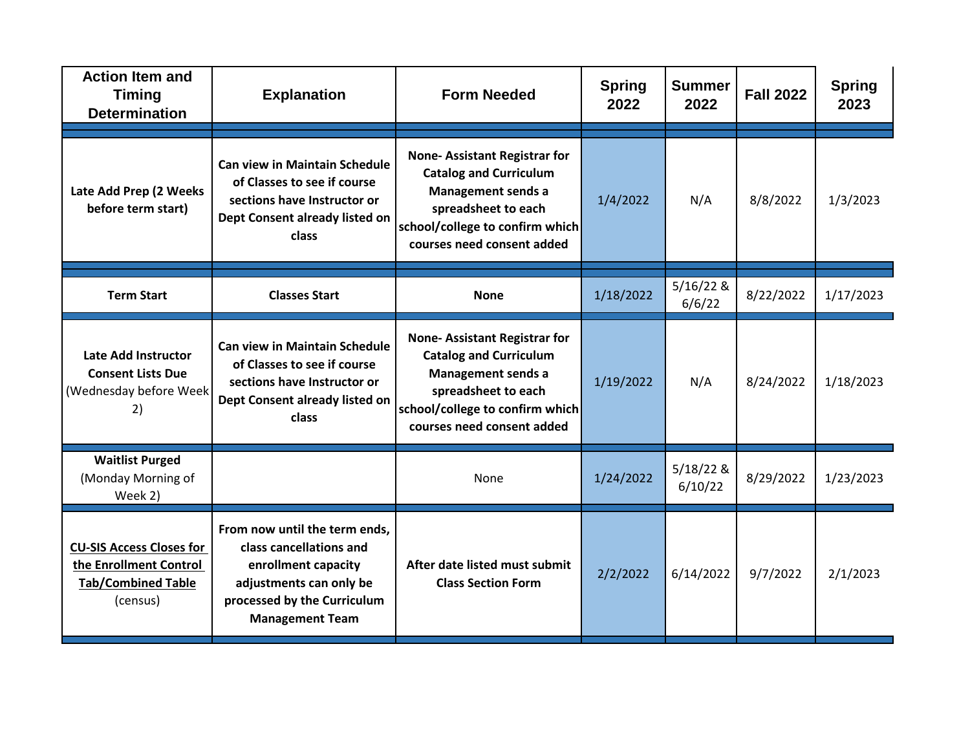| <b>Action Item and</b><br><b>Timing</b><br><b>Determination</b>                                    | <b>Explanation</b>                                                                                                                                                  | <b>Form Needed</b>                                                                                                                                                                        | <b>Spring</b><br>2022 | <b>Summer</b><br>2022  | <b>Fall 2022</b> | <b>Spring</b><br>2023 |
|----------------------------------------------------------------------------------------------------|---------------------------------------------------------------------------------------------------------------------------------------------------------------------|-------------------------------------------------------------------------------------------------------------------------------------------------------------------------------------------|-----------------------|------------------------|------------------|-----------------------|
| Late Add Prep (2 Weeks<br>before term start)                                                       | <b>Can view in Maintain Schedule</b><br>of Classes to see if course<br>sections have Instructor or<br>Dept Consent already listed on<br>class                       | <b>None-Assistant Registrar for</b><br><b>Catalog and Curriculum</b><br><b>Management sends a</b><br>spreadsheet to each<br>school/college to confirm which<br>courses need consent added | 1/4/2022              | N/A                    | 8/8/2022         | 1/3/2023              |
| <b>Term Start</b>                                                                                  | <b>Classes Start</b>                                                                                                                                                | <b>None</b>                                                                                                                                                                               | 1/18/2022             | $5/16/22$ &<br>6/6/22  | 8/22/2022        | 1/17/2023             |
| <b>Late Add Instructor</b><br><b>Consent Lists Due</b><br>(Wednesday before Week<br>2)             | <b>Can view in Maintain Schedule</b><br>of Classes to see if course<br>sections have Instructor or<br>Dept Consent already listed on<br>class                       | <b>None-Assistant Registrar for</b><br><b>Catalog and Curriculum</b><br><b>Management sends a</b><br>spreadsheet to each<br>school/college to confirm which<br>courses need consent added | 1/19/2022             | N/A                    | 8/24/2022        | 1/18/2023             |
| <b>Waitlist Purged</b><br>(Monday Morning of<br>Week 2)                                            |                                                                                                                                                                     | None                                                                                                                                                                                      | 1/24/2022             | $5/18/22$ &<br>6/10/22 | 8/29/2022        | 1/23/2023             |
| <b>CU-SIS Access Closes for</b><br>the Enrollment Control<br><b>Tab/Combined Table</b><br>(census) | From now until the term ends,<br>class cancellations and<br>enrollment capacity<br>adjustments can only be<br>processed by the Curriculum<br><b>Management Team</b> | After date listed must submit<br><b>Class Section Form</b>                                                                                                                                | 2/2/2022              | 6/14/2022              | 9/7/2022         | 2/1/2023              |